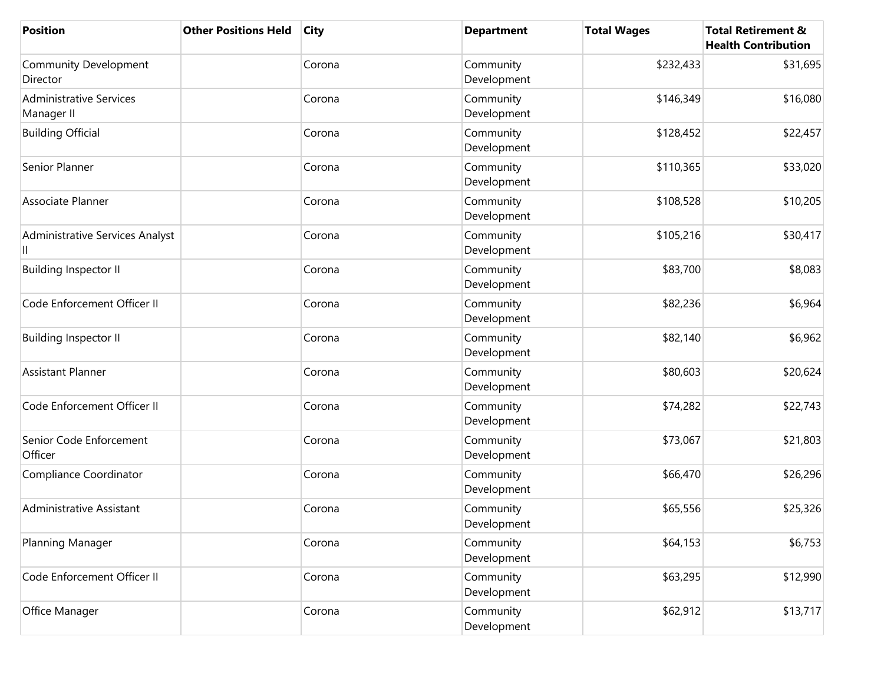| <b>Position</b>                              | <b>Other Positions Held</b> | <b>City</b> | <b>Department</b>        | <b>Total Wages</b> | <b>Total Retirement &amp;</b><br><b>Health Contribution</b> |
|----------------------------------------------|-----------------------------|-------------|--------------------------|--------------------|-------------------------------------------------------------|
| Community Development<br>Director            |                             | Corona      | Community<br>Development | \$232,433          | \$31,695                                                    |
| <b>Administrative Services</b><br>Manager II |                             | Corona      | Community<br>Development | \$146,349          | \$16,080                                                    |
| <b>Building Official</b>                     |                             | Corona      | Community<br>Development | \$128,452          | \$22,457                                                    |
| Senior Planner                               |                             | Corona      | Community<br>Development | \$110,365          | \$33,020                                                    |
| Associate Planner                            |                             | Corona      | Community<br>Development | \$108,528          | \$10,205                                                    |
| Administrative Services Analyst<br>Ш         |                             | Corona      | Community<br>Development | \$105,216          | \$30,417                                                    |
| <b>Building Inspector II</b>                 |                             | Corona      | Community<br>Development | \$83,700           | \$8,083                                                     |
| Code Enforcement Officer II                  |                             | Corona      | Community<br>Development | \$82,236           | \$6,964                                                     |
| <b>Building Inspector II</b>                 |                             | Corona      | Community<br>Development | \$82,140           | \$6,962                                                     |
| <b>Assistant Planner</b>                     |                             | Corona      | Community<br>Development | \$80,603           | \$20,624                                                    |
| Code Enforcement Officer II                  |                             | Corona      | Community<br>Development | \$74,282           | \$22,743                                                    |
| Senior Code Enforcement<br>Officer           |                             | Corona      | Community<br>Development | \$73,067           | \$21,803                                                    |
| Compliance Coordinator                       |                             | Corona      | Community<br>Development | \$66,470           | \$26,296                                                    |
| Administrative Assistant                     |                             | Corona      | Community<br>Development | \$65,556           | \$25,326                                                    |
| Planning Manager                             |                             | Corona      | Community<br>Development | \$64,153           | \$6,753                                                     |
| Code Enforcement Officer II                  |                             | Corona      | Community<br>Development | \$63,295           | \$12,990                                                    |
| Office Manager                               |                             | Corona      | Community<br>Development | \$62,912           | \$13,717                                                    |